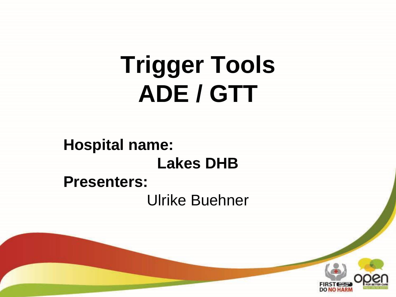# **Trigger Tools ADE / GTT**

**Hospital name: Lakes DHB Presenters:** Ulrike Buehner

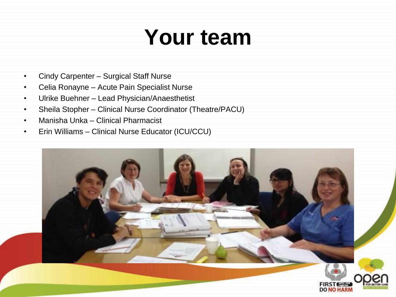### **Your team**

- Cindy Carpenter Surgical Staff Nurse
- Celia Ronayne Acute Pain Specialist Nurse
- Ulrike Buehner Lead Physician/Anaesthetist
- Sheila Stopher Clinical Nurse Coordinator (Theatre/PACU)
- Manisha Unka Clinical Pharmacist
- Erin Williams Clinical Nurse Educator (ICU/CCU)

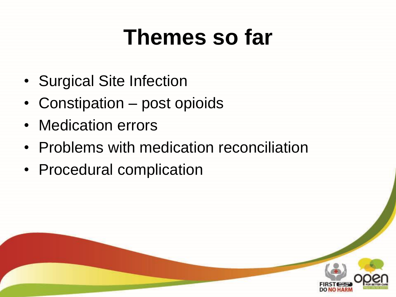#### **Themes so far**

- Surgical Site Infection
- Constipation post opioids
- Medication errors
- Problems with medication reconciliation
- Procedural complication

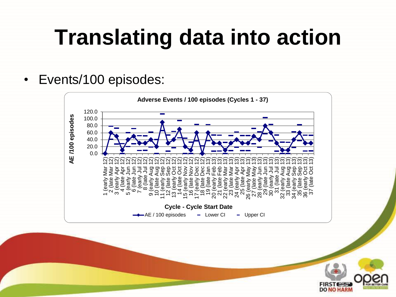### **Translating data into action**

• Events/100 episodes:



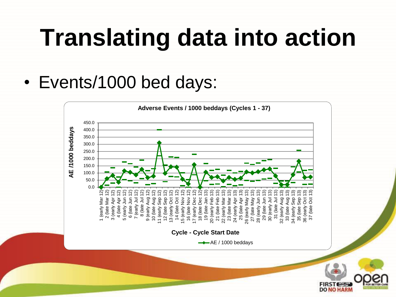# **Translating data into action**

• Events/1000 bed days:

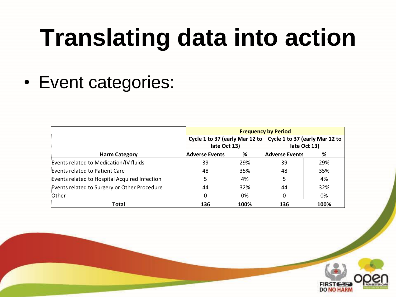# **Translating data into action**

• Event categories:

|                                               | <b>Frequency by Period</b> |      |                                                                 |      |
|-----------------------------------------------|----------------------------|------|-----------------------------------------------------------------|------|
|                                               |                            |      | Cycle 1 to 37 (early Mar 12 to   Cycle 1 to 37 (early Mar 12 to |      |
|                                               | late Oct 13)               |      | late Oct 13)                                                    |      |
| <b>Harm Category</b>                          | <b>Adverse Events</b>      | %    | <b>Adverse Events</b>                                           | %    |
| Events related to Medication/IV fluids        | 39                         | 29%  | 39                                                              | 29%  |
| Events related to Patient Care                | 48                         | 35%  | 48                                                              | 35%  |
| Events related to Hospital Acquired Infection |                            | 4%   |                                                                 | 4%   |
| Events related to Surgery or Other Procedure  | 44                         | 32%  | 44                                                              | 32%  |
| Other                                         | 0                          | 0%   |                                                                 | 0%   |
| <b>Total</b>                                  | 136                        | 100% | 136                                                             | 100% |

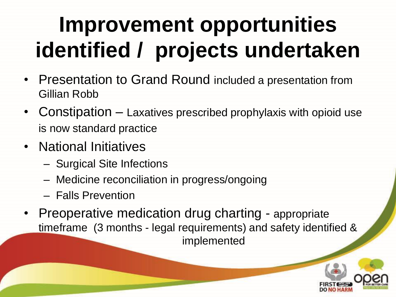### **Improvement opportunities identified / projects undertaken**

- Presentation to Grand Round included a presentation from Gillian Robb
- Constipation Laxatives prescribed prophylaxis with opioid use is now standard practice
- National Initiatives
	- Surgical Site Infections
	- Medicine reconciliation in progress/ongoing
	- Falls Prevention
- Preoperative medication drug charting appropriate timeframe (3 months - legal requirements) and safety identified & implemented

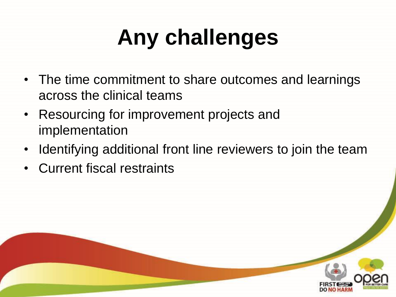# **Any challenges**

- The time commitment to share outcomes and learnings across the clinical teams
- Resourcing for improvement projects and implementation
- Identifying additional front line reviewers to join the team
- Current fiscal restraints

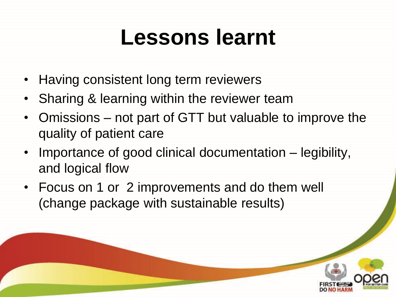#### **Lessons learnt**

- Having consistent long term reviewers
- Sharing & learning within the reviewer team
- Omissions not part of GTT but valuable to improve the quality of patient care
- Importance of good clinical documentation legibility, and logical flow
- Focus on 1 or 2 improvements and do them well (change package with sustainable results)

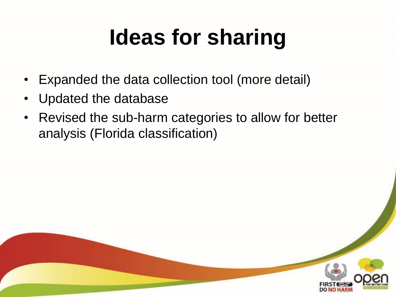# **Ideas for sharing**

- Expanded the data collection tool (more detail)
- Updated the database
- Revised the sub-harm categories to allow for better analysis (Florida classification)